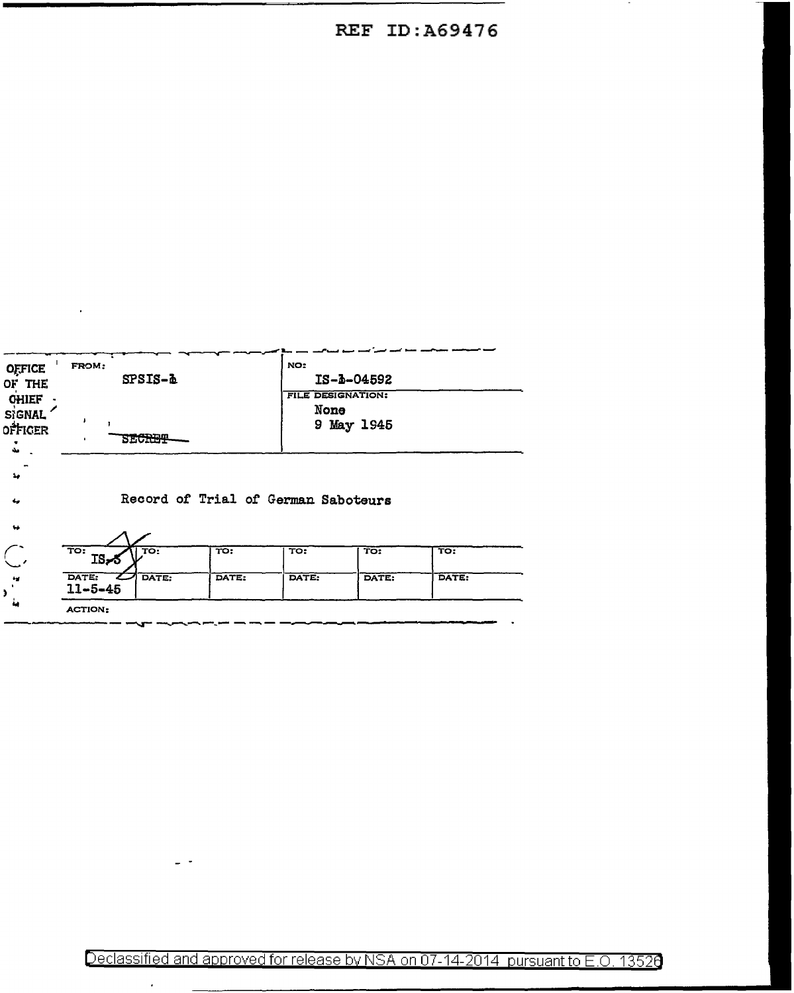## **REF ID: A69476**

 $\sim$ 

| <b>OFFICE</b><br>OF THE<br><b>CHIEF</b> | FROM:                               | $SPSIS-\Delta$    |                                  | NO:<br>$IS - b - 04592$<br><b>FILE DESIGNATION:</b> |                         |       |  |  |  |  |  |
|-----------------------------------------|-------------------------------------|-------------------|----------------------------------|-----------------------------------------------------|-------------------------|-------|--|--|--|--|--|
| <b>SIGNAL</b><br>OFFIGER<br>مقا         |                                     | <b>SECRET</b>     |                                  | None<br>9 May 1945                                  |                         |       |  |  |  |  |  |
| ٠.<br>مه                                | Record of Trial of German Saboteurs |                   |                                  |                                                     |                         |       |  |  |  |  |  |
| $\bullet$                               |                                     |                   |                                  |                                                     |                         |       |  |  |  |  |  |
|                                         | TO:<br>IS-5                         | $\overline{TO}$ : | $\overline{\operatorname{TO}}$ : | TO:                                                 | $\overline{\text{TO:}}$ | TO:   |  |  |  |  |  |
| $\mathbf{r}_\mathrm{d}$                 | DATE:<br>$11 - 5 - 45$              | DATE:             | DATE:                            | DATE:                                               | DATE:                   | DATE: |  |  |  |  |  |
|                                         | <b>ACTION:</b>                      |                   |                                  |                                                     |                         |       |  |  |  |  |  |

 $\overline{a}$ 

 $\mathcal{A}$ 

 $\epsilon$ 

Declassified and approved for release by NSA on 07-14-2014 pursuant to E.O. 13526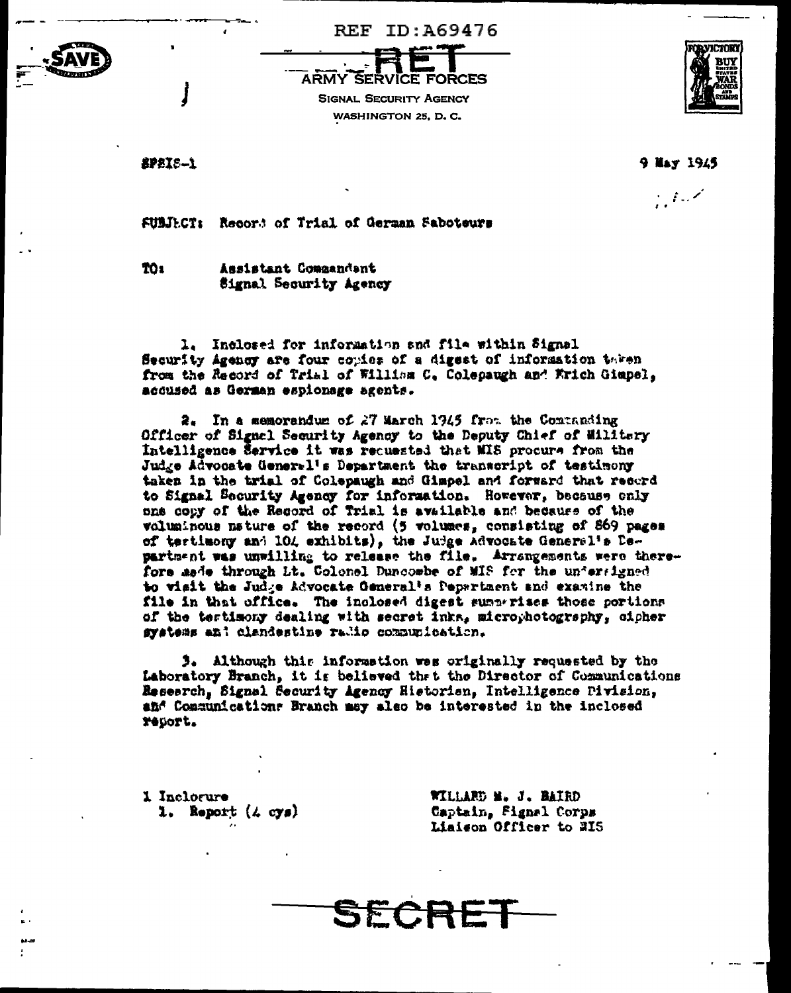





SPSIS-1

9 May 1945

 $\mathcal{L} \neq \mathcal{L}$ 

FUBJECT: Record of Trial of German Saboteurs

TO<sub>1</sub> Assistant Compandent Signal Security Agency

1. Inclosed for information and file within Signal Security Agency are four copies of a digest of information taken from the Record of Trial of William C. Colepaugh and Wrich Gimpel, accused as German espionage agents.

2. In a memorandum of 27 March 1945 from the Commanding Officer of Signal Security Agency to the Deputy Chief of Militery Intelligence Service it was requested that MIS procure from the Judge Advocate General's Department the transcript of testimony taken in the trial of Colepaugh and Gimpel and forward that record to Signal Security Agency for information. However, because only one copy of the Record of Trial is available and because of the voluminous mature of the record (5 volumes, consisting of 869 pages of tertimony and 104 exhibits), the Judge Advocate General's Department was unwilling to release the file. Arrangements were therefore made through Lt. Colonel Duncombe of MIS for the undersigned to visit the Judge Advocate General's Pepartment and examine the file in that office. The inclosed digest summerises those portions of the tertimony dealing with secret inks, microphotography, cipher systems and clandestine radio communication.

3. Although this information was originally requested by the Laboratory Branch, it is believed thet the Director of Communications Research, Signal Security Agency Historian, Intelligence Pivision, and Communications Branch may also be interested in the inclosed report.

1 Inclorure 1. Report  $(4 \text{ cys})$  WILLARD M. J. BAIRD Captain, Fignal Corps Liaison Officer to 215

SECRE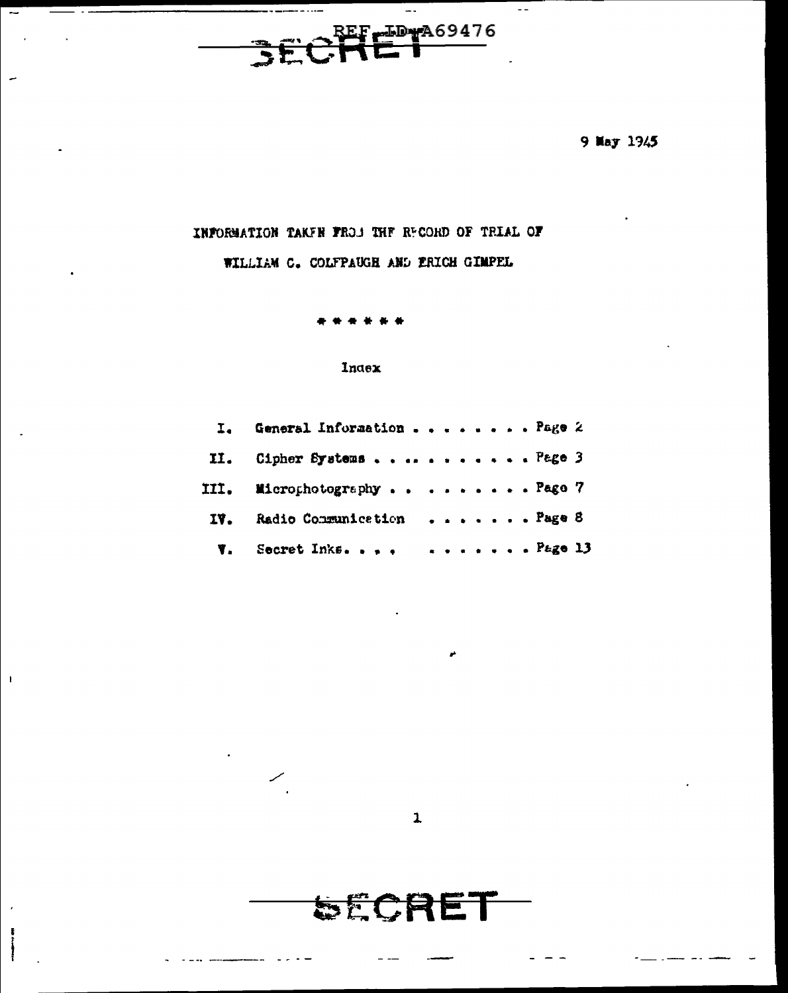REF<del>LID MA69476</del> 3Ē

 $\rightarrow$  .

 $\overline{\phantom{0}}$ 

 $\overline{\phantom{0}}$ 

 $\mathbf{I}$ 

 $\mathbf{r}$ 

9 May 1945

 $\omega$   $\omega$ 

## INFORMATION TAKEN FROM THE RECORD OF TRIAL OF

WILLIAM C. COLFPAUGH AND ERICH GIMPEL

### Index

| I. General Information Page 2   |  |  |  |  |  |
|---------------------------------|--|--|--|--|--|
| II. Cipher SystemsPage 3        |  |  |  |  |  |
| III. MicrophotographyPage 7     |  |  |  |  |  |
| IV. Radio Communication  Page 8 |  |  |  |  |  |
| <b>W.</b> Secret Inks  Page 13  |  |  |  |  |  |



**SECRET**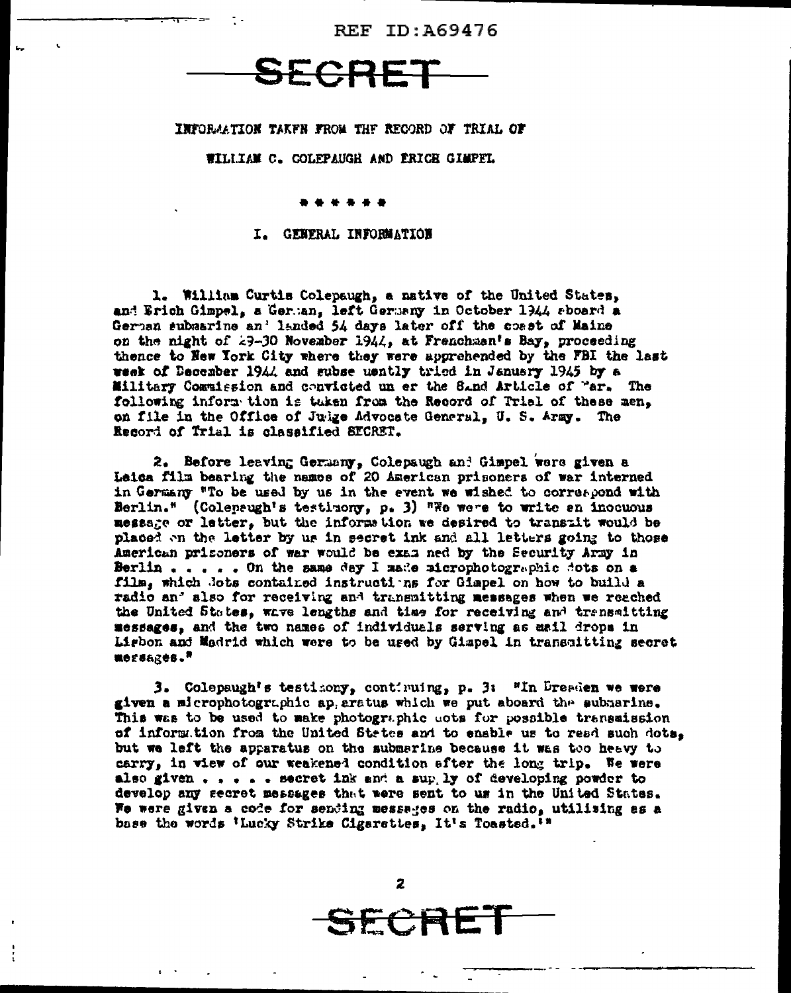REF ID: 469476



INFORMATION TAKEN FROM THE RECORD OF TRIAL OF

#### WILLIAM C. COLEPAUGH AND ERICE GIMPEL

#### I. GENERAL INFORMATION

1. William Curtis Colepaugh, a native of the United States. and Erich Gimpel, a German, left Germany in October 1944 sboard a German subsarine an' landed 54 days later off the coast of Maine on the night of 29-30 November 1944, at Frenchman's Bay, proceeding thence to New York City where they were apprehended by the FBI the last week of December 1944 and subse uently tried in January 1945 by a Military Commission and convicted un er the Sand Article of "ar. The following inform tion is tuken from the Record of Trial of these men. on file in the Office of Julge Advocate General. U. S. Army. The Record of Trial is classified SECRET.

2. Before leaving Germany, Colepaugh and Gimpel were given a Leica film bearing the names of 20 American prisoners of war interned in Germany "To be used by us in the event we wished to correspond with Berlin." (Coleneugh's testimony, p. 3) "We were to write an inocuous messare or letter. but the information we desired to transait would be placed on the letter by us in secret ink and all letters going to those American prisoners of wer would be exam ed by the Security Army in Berlin . . . . On the same day I made microphotographic dots on a film, which Jots contained instructions for Gimpel on how to build a radio an' also for receiving and transmitting messages when we reached the United States. wave lengths and time for receiving and transmitting messages, and the two names of individuals serving as mail drops in Ligbon and Madrid which were to be used by Gimpel in transmitting secret ROESARCS."

3. Colepaugh's testicony, continuing, p. 3: "In Dreaden we were given a microphotographic ap aratus which we put aboard the submarine. This was to be used to make photographic acts for possible transmission of information from the United States and to enable us to read such dots. but we left the apparatus on the submarine because it was too heavy to carry, in view of our weakened condition after the long trip. We were also given  $\ldots$  . . . secret ink and a sup ly of developing powder to develop any secret messages that were sent to us in the United States. We were given a code for sending messages on the radio, utilising as a base the words 'Lucky Strike Cigarattes, It's Toasted.'"

 $\overline{2}$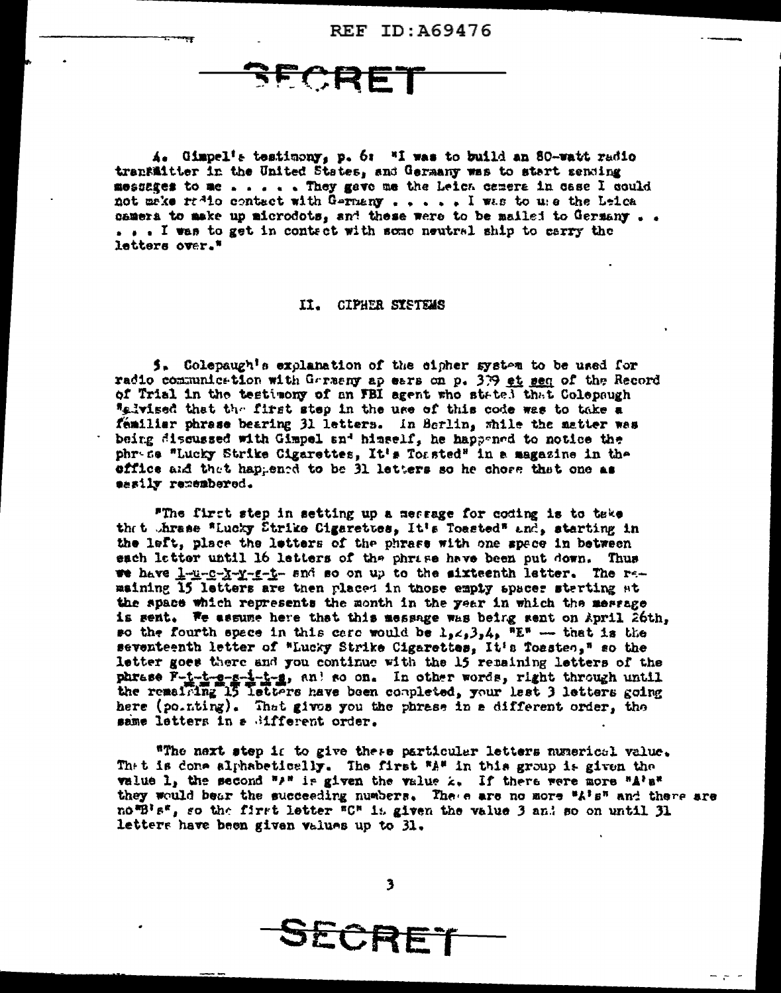FCRET

 $A_4$  Gimpel's testimony, p. 6: "I was to build an 80-watt radio transmitter in the United States, and Germany was to start sending messages to me . . . . . They gave me the Leich camera in case I could not make radio contact with Germany . . . . . I was to use the Leica camera to make up microdots, and these were to be mailed to Germany... ... I was to get in contect with some neutral ship to carry the letters over.\*

#### II. CIPHER SYSTEMS

5. Colepaugh's explanation of the cipher system to be used for radio communication with Garseny ap ears on p. 379 et seq of the Record of Trial in the testimony of an FBI agent who stated that Colepaugh "elvised that the first step in the use of this code was to take a femiliar phrase bearing 31 letters. In Berlin, while the matter was being discussed with Gimpel and himself, he happened to notice the phress "Lucky Strike Cigarettes, It's Toasted" in a magazine in the effice and that happened to be 31 letters so he chose that one as sesily remembered.

"The first step in setting up a message for coding is to teke thet threse "Lucky Strike Cigarettes, It's Toasted" and, starting in the left, place the letters of the phrase with one space in between each letter until 16 letters of the phrise have been put down. Thus we have levery-y-y-g-t- and so on up to the sixteenth latter. The remaining 15 letters are then placed in those empty spaces sterting at the space which represents the month in the year in which the merrage is sent. We assume here that this message was being sent on April 26th, so the fourth space in this care would be  $\lambda_2 \leq \lambda_3$ ,  $\lambda_4$ ,  $\overline{R}$  = that is the seventeenth letter of "Lucky Strike Cigarettes, It's Toasten," so the letter goes there and you continue with the 15 remaining letters of the phrase F-i-i-g-g-i-i-g, and so on. In other words, right through until the remaining 15 letters have been completed, your lest 3 letters going here (pointing). That gives you the phrase in a different order, the same letters in a Sifferent order.

"The next step is to give these particular letters numerical value. Thet is done alphabetically. The first "A" in this group is given the value 1, the second "" is given the value z. If there were more "A's" they would bear the succeeding numbers. There are no more "A's" and there are nomBles, so the first letter "C" is given the value 3 and so on until 31 letters have been given values up to 31.

SECRET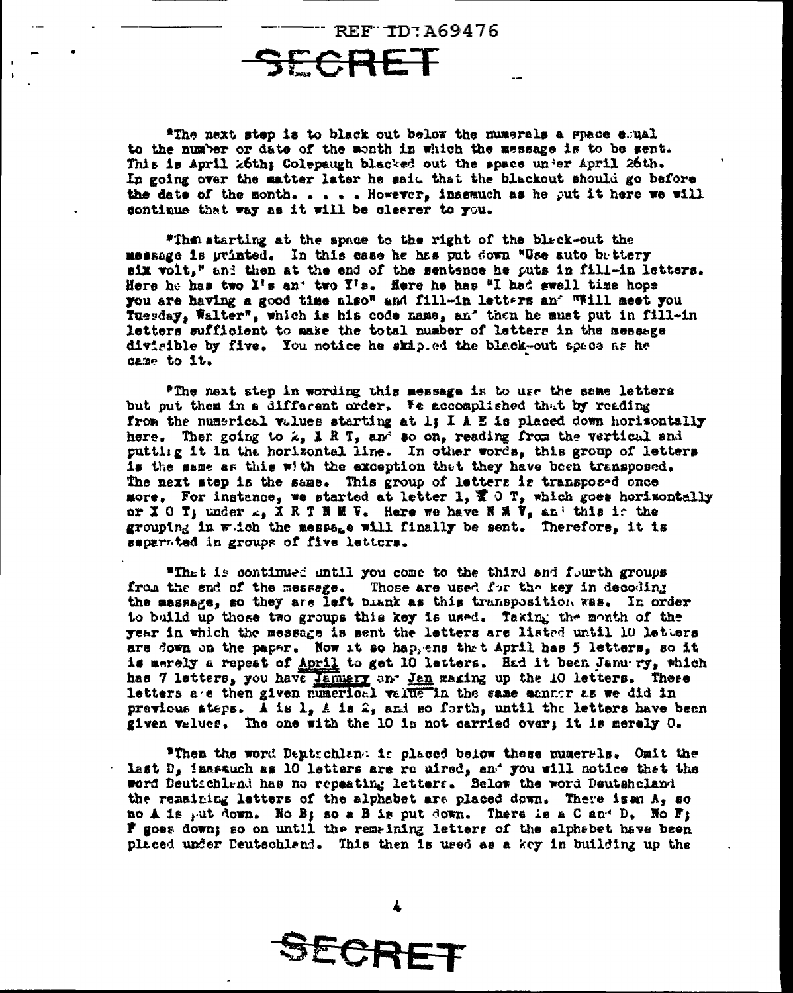"The next step is to black out below the numerals a space esual to the number or date of the month in which the message is to be sent. This is April z6th; Colepaugh blacked out the space under April 26th. In going over the matter later he said that the blackout should go before the date of the month. . . . . However, inasmuch as he put it here we will continue that way as it will be clearer to you.

**REF TD: A69476** 

"The starting at the space to the right of the black-out the message is printed. In this case he has put down "Use auto bettery six volt," and then at the end of the sentence he puts in fill-in letters. Here he has two X's an' two Y's. Here he has "I had swell time hope you are having a good time also" and fill-in letters and "Will meet you Tuesday, Walter", which is his code name, an' then he must put in fill-in letters sufficient to make the total number of letters in the message divisible by five. You notice he skip.ed the black-out space as he came to it.

"The next step in wording this message is to use the same letters but put them in a different order. We accomplished that by reading from the numerical values starting at 1; I A E is placed down horisontally here. Then going to  $\lambda$ , I R T, and so on, reading from the vertical and putting it in the horizontal line. In other words, this group of letters is the same as this with the exception that they have been transposed. The next step is the same. This group of letters is transposed once more. For instance, we started at letter 1,  $\bar{x} \circ r$ , which goes horizontally or X 0 T; under  $\lambda_0$  X R T H H V. Here we have N M V, and this is the grouping in witch the message will finally be sent. Therefore, it is separated in groups of five letters.

"That is continued until you come to the third and fourth groups from the end of the message. Those are used for the key in decoding the massage, so they are left blank as this transposition was. In order to build up those two groups this key is used. Taking the month of the year in which the message is sent the letters are listed until 10 letters are down on the paper. Now it so happens that April has 5 letters, so it is merely a repeat of April to get 10 letters. Had it been Janu ry, which has 7 letters, you have Jammery and Jan making up the 10 letters. These letters are then given numerical value in the same manner as we did in previous ateps. A is  $l<sub>2</sub>$  A is  $2<sub>2</sub>$  and so forth, until the letters have been given values. The one with the 10 is not carried over; it is merely O.

"Then the word Deutschlan: is placed below these numerals. Omit the Last  $D<sub>s</sub>$  inarauch as 10 letters are re uired, and you will notice that the word Deutschland has no repeating letters. Selow the word Deutshcland the remaining letters of the alphabet are placed down. There is an  $A_5$  so no A is put down. No B; so a B is put down. There is a C and D. No F; If goes down; so on until the remaining letters of the alphabet have been placed under Deutschland. This then is used as a key in building up the

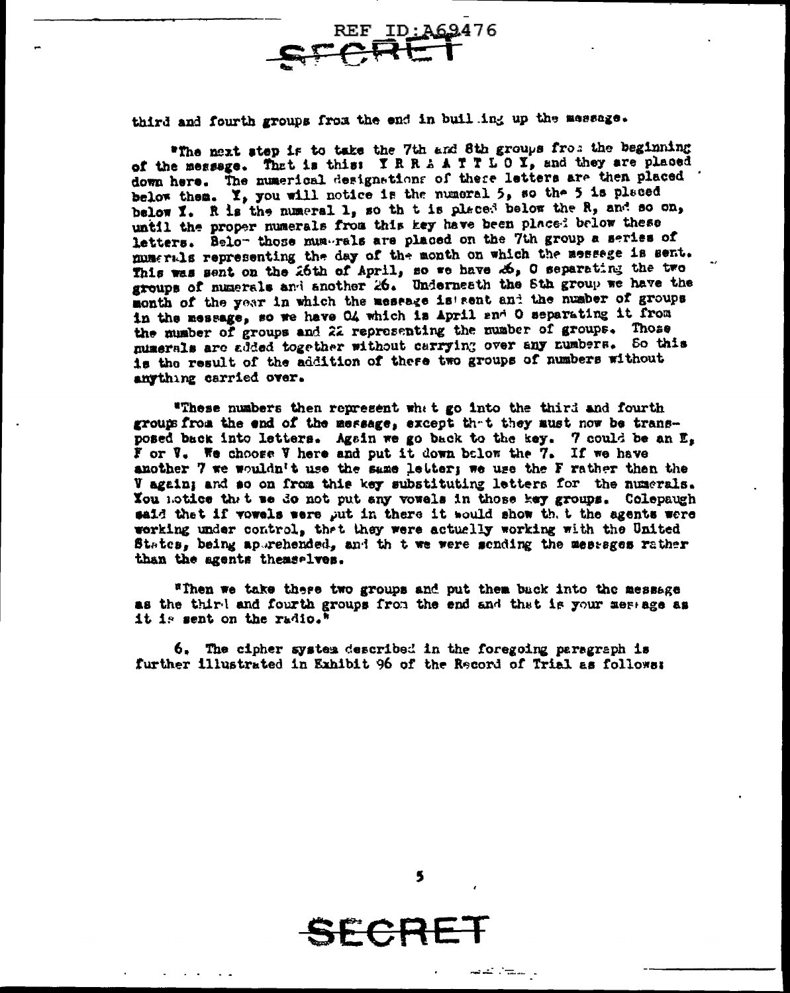third and fourth groups from the end in buil ing up the message.

SFARE

"The next step is to take the 7th and 8th groups from the beginning of the message. That is this: IRRAATTLOY, and they are placed down here. The numerical designations of these letters are then placed below them. Y, you will notice is the numeral 5, so the 5 is placed below I. R is the numeral 1, so th t is placed below the R, and so on, until the proper numerals from this key have been placed below these letters. Belo- those mum-rals are placed on the 7th group a series of numerals representing the day of the month on which the messeage is sent. This was sent on the 26th of April, so we have  $\mathcal{A}_2$ , O separating the two groups of numerals and another 26. Underneath the 8th group we have the month of the year in which the message is sent and the number of groups in the message, so we have O4 which is April and O separating it from the mumber of groups and 22 representing the number of groups. Those numerals are added together without carrying over any numbers. So this is the result of the addition of there two groups of numbers without anything carried over.

REF ID: A69476

"These numbers then represent what go into the third and fourth groups from the end of the message, except that they must now be transposed back into letters. Again we go back to the key. 7 could be an E, F or V. We choose V here and put it down below the 7. If we have another 7 we wouldn't use the same letter; we use the F rather then the V again; and so on from this key substituting letters for the numerals. You notice that we do not put any vowels in those key groups. Colepaugh said that if vowels were put in there it would show that the agents were working under control, that they were actually working with the United States, being apprehended, and thit we were sending the messages rather than the agents themselves.

"Then we take there two groups and put them back into the message as the third and fourth groups from the end and that is your message as it is sent on the radio."

6. The cipher system described in the foregoing paragraph is further illustrated in Exhibit 96 of the Record of Trial as follows:

5

ل المن<del>ت</del>ال كونو

SECR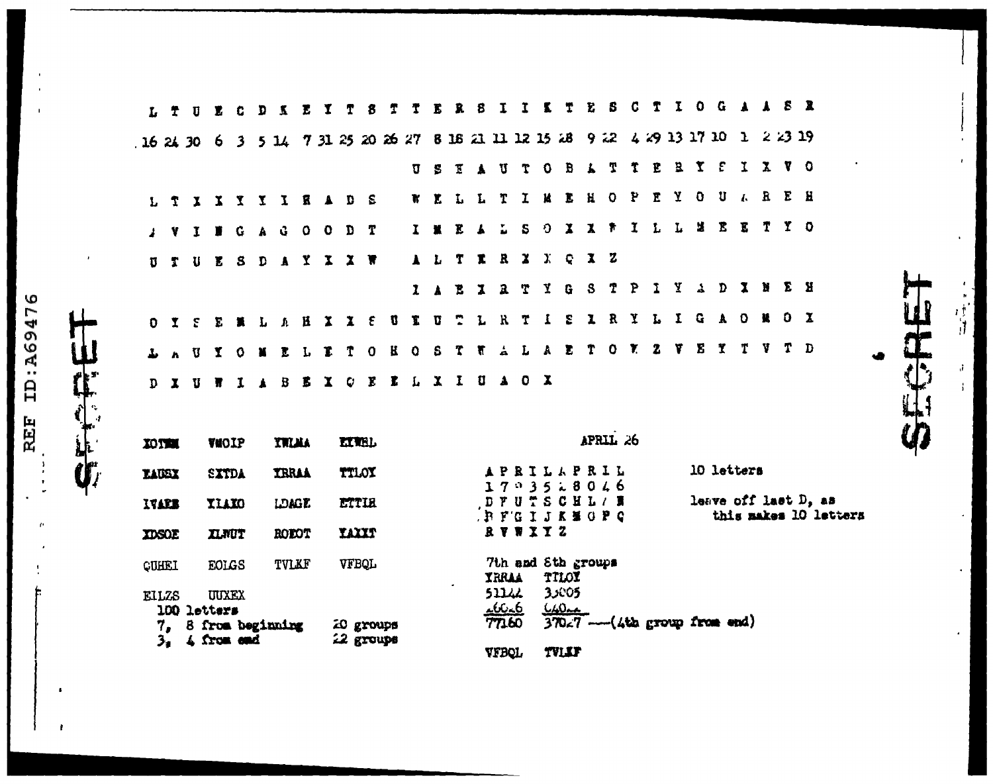|              | $L$ $\tau$     |              | Ū            | Y.                   | G           | D                | K                                                           | E | I |                        | 8                       |    |              |                       |              | 8            | I             |              |              |                             | Ŧ.           | 5                                                                          | C            | T            | $\mathbf{I}$ | $\mathbf{0}$          |                         | $G$ $A$ $A$ $S$ $R$ |          |                |                       |  |
|--------------|----------------|--------------|--------------|----------------------|-------------|------------------|-------------------------------------------------------------|---|---|------------------------|-------------------------|----|--------------|-----------------------|--------------|--------------|---------------|--------------|--------------|-----------------------------|--------------|----------------------------------------------------------------------------|--------------|--------------|--------------|-----------------------|-------------------------|---------------------|----------|----------------|-----------------------|--|
| 162430       |                |              |              |                      |             |                  |                                                             |   |   |                        |                         |    |              |                       |              |              |               |              |              |                             |              | 6 3 5 14 7 31 25 20 26 27 8 16 21 11 12 15 28 9 22 4 29 13 17 10 1 2 23 19 |              |              |              |                       |                         |                     |          |                |                       |  |
|              |                |              |              |                      |             |                  |                                                             |   |   |                        |                         |    | Ū            | - 8                   | Έ            | $\mathbf{A}$ | U             | T            | $\bullet$    | $\mathbf{B}$                | $\mathbf{L}$ | T                                                                          | T            | E            | $\mathbf{B}$ |                       | $\mathfrak{X}$ $\Gamma$ | I X V O             |          |                |                       |  |
|              | T              |              | $\mathbf{x}$ | $\mathbf{X}$         |             |                  | <b>YYIRADS</b>                                              |   |   |                        |                         |    | Y.           | $\mathbf{r}$          |              | L L          | т             | I.           | и            | L                           | $\mathbf{H}$ | $\circ$                                                                    | P            | $\mathbf{r}$ | $\mathbf{Y}$ | $\mathbf{O}$          |                         | ULREH               |          |                |                       |  |
|              |                | Y            | $\mathbf{I}$ |                      |             |                  | <b>BGAGOODT</b>                                             |   |   |                        |                         |    |              | $\mathbf{I}$ <b>x</b> | E            |              | ÷.            | S.           | Ð            | $\mathbf{X}$                | $\mathbf{X}$ | $\bullet$                                                                  | $\mathbf{I}$ |              |              | L L M                 |                         | E E T Y O           |          |                |                       |  |
| IJ           | T              |              | U            | E.                   |             |                  | SDAYXXW                                                     |   |   |                        |                         |    |              | $\lambda$ $\lambda$   |              |              | T I R         | $\mathbf{z}$ |              | $X \subseteq \mathbb{C}$    |              | $\mathbf{X}$ z                                                             |              |              |              |                       |                         |                     |          |                |                       |  |
|              |                |              |              |                      |             |                  |                                                             |   |   |                        |                         |    |              | 1 <sub>1</sub>        | B            | $\mathbf{I}$ | $\mathbf{a}$  | T            |              | $Y$ G                       | S            | $\mathbf T$                                                                | $\mathbf{P}$ | $\mathbf{I}$ | Y            |                       | $\rightarrow$ D         | $\mathbf{X}$ is     |          | E H            |                       |  |
|              | 0 <sub>x</sub> |              | $\mathbf{S}$ |                      |             |                  | ENLAHIYE                                                    |   |   |                        |                         | U. | X.           | U                     | $\mathbf{r}$ | $\mathbf{L}$ | $\mathbf{R}$  | T            | $\mathbf{I}$ | £                           |              | I R Y                                                                      |              | L            | $\mathbf{I}$ | $\mathbf{G}$          | $\mathbf{A}$            | $\circ$             | <b>M</b> | 0 <sub>x</sub> |                       |  |
| Ł.           |                |              | U            | x                    | $\mathbf 0$ | ×                | ELE                                                         |   |   | $\mathbf{T}$           | $\overline{\mathbf{0}}$ |    | $B$ 0        | S.                    | T            |              | TAL           |              |              | $A$ $E$                     | Ť            | $\bullet$                                                                  | $\mathbf{v}$ | $\mathbf{z}$ | -Y.          | $\boldsymbol{\Sigma}$ | $\mathbf x$             | $\mathbf{r}$        |          | V T D          |                       |  |
| D.           |                | $\mathbf{I}$ | U            | П                    | 1           | $\blacktriangle$ | $B$ $\mathbf{E}$ $\mathbf{X}$ $C$ $\mathbf{E}$ $\mathbf{L}$ |   |   |                        |                         |    | $\mathbf{L}$ |                       |              |              | XIUA OX       |              |              |                             |              |                                                                            |              |              |              |                       |                         |                     |          |                |                       |  |
|              |                |              |              |                      |             |                  |                                                             |   |   |                        |                         |    |              |                       |              |              |               |              |              |                             |              |                                                                            |              |              |              |                       |                         |                     |          |                |                       |  |
| <b>IOTHE</b> |                |              |              | VWOIP                |             |                  | <b>YWAA</b>                                                 |   |   | <b>LIVEL</b>           |                         |    |              |                       |              |              |               |              |              |                             |              | APRIL 26                                                                   |              |              |              |                       |                         |                     |          |                |                       |  |
| LAUSX        |                |              |              | SXTDA                |             |                  | <b>TRRAA</b>                                                |   |   | TTLOY                  |                         |    |              |                       |              |              |               |              |              |                             |              | APRILAPRIL<br>1703518016                                                   |              |              |              |                       | 10 letters              |                     |          |                |                       |  |
| IVARE        |                |              |              | <b>YIAKO</b>         |             |                  | <b>LDAGE</b>                                                |   |   | ETTIE                  |                         |    |              |                       |              |              |               |              |              |                             |              | DFUTSCHL/ N<br><b>BFGIJKMOPC</b>                                           |              |              |              |                       | leave off last D, as    |                     |          |                | this makes 10 letters |  |
| <b>TDSOE</b> |                |              |              | <b>ILNUT</b>         |             |                  | ROBOT                                                       |   |   | <b>TAXXT</b>           |                         |    |              |                       |              |              | RVWXY Z       |              |              |                             |              |                                                                            |              |              |              |                       |                         |                     |          |                |                       |  |
| CUHEI        |                |              |              | EOLGS                |             |                  | TVLKF                                                       |   |   | VFBQL                  |                         |    |              |                       |              |              | <b>YRRAA</b>  |              |              | 7th and 8th groups<br>TILOX |              |                                                                            |              |              |              |                       |                         |                     |          |                |                       |  |
| <b>EILZS</b> |                |              |              | UUXEX<br>100 letters |             |                  |                                                             |   |   |                        |                         |    |              |                       |              |              | 51142<br>16.6 |              |              | 35005<br>$640 - $           |              |                                                                            |              |              |              |                       |                         |                     |          |                |                       |  |
|              | 7,             |              |              | 4 from and           |             |                  | 8 from beginning                                            |   |   | 20 groups<br>22 groups |                         |    |              |                       |              |              | 77160         |              |              |                             |              | $370z7$ --- (4th group from end)                                           |              |              |              |                       |                         |                     |          |                |                       |  |
|              | 3 <sub>1</sub> |              |              |                      |             |                  |                                                             |   |   |                        |                         |    |              |                       |              |              | VFBQL         |              |              | TVLEF                       |              |                                                                            |              |              |              |                       |                         |                     |          |                |                       |  |

 $\begin{array}{c} 3 \\ 4 \end{array}$ 

REF ID:A69476

**CECRET** 

 $\bullet$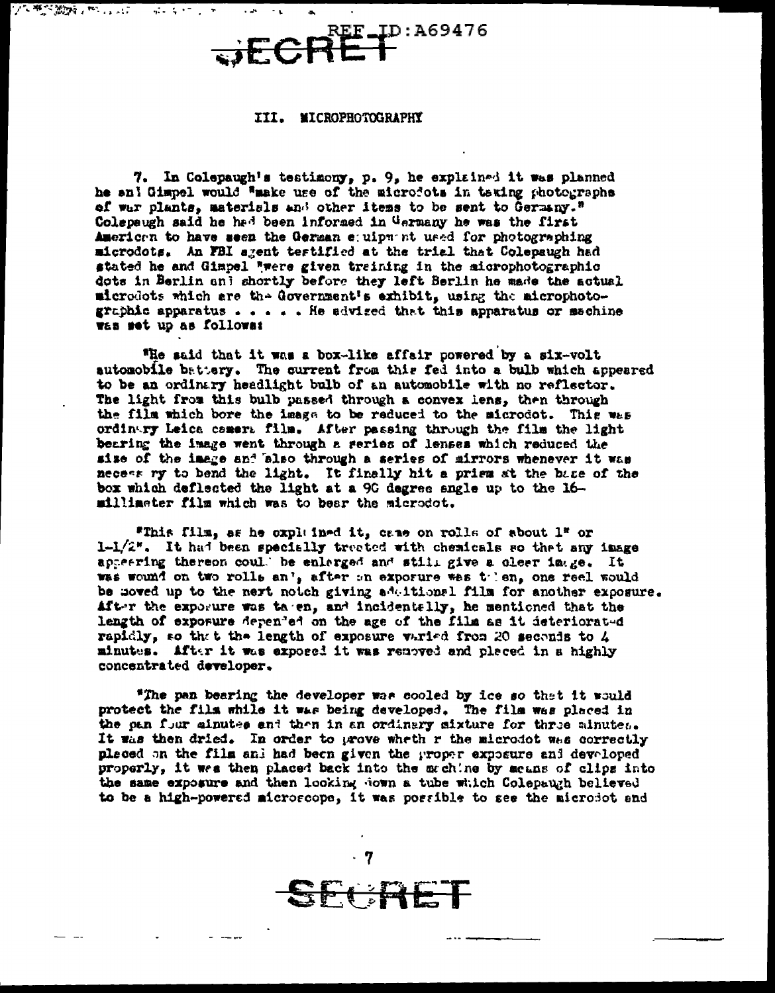REF\_ID:A69476  $\overline{\mathbf{F}}$ 

#### III. MICROPHOTOGRAPHY

2010年的300%以下,2010年

**第4条 50 分钟** 

7. In Colepaugh's testimony, p. 9, he explained it was planned he and Gimpel would "make use of the microdots in taking photographs of war plants, materials and other items to be sent to Germany." Colepaugh said he had been informed in Germany he was the first American to have seen the German equipment used for photographing microdots. An FBI agent testified at the trial that Colepaugh had stated he and Gimpel "were given training in the microphotographic dots in Berlin and shortly before they left Berlin he made the actual microdots which are the Government's exhibit, using the microphotographic apparatus  $\ldots$  . He advised that this apparatus or machine was set up as followa:

"He said that it was a box-like affair powered by a six-volt automobile battery. The current from this fed into a bulb which appeared to be an ordinary headlight bulb of an automobile with no reflector. The light from this bulb passed through a convex lens, then through the film which bore the image to be reduced to the microdot. This was ordinary Leica camera film. After passing through the film the light bearing the image went through a series of lenses which reduced the size of the image and also through a series of mirrors whenever it was necess ry to bend the light. It finally hit a prism at the base of the box which deflected the light at a 90 degree angle up to the 16millineter film which was to bear the microdot.

"This film, as he oxpluined it, came on rolls of about 1" or 1-1/2". It had been specially treated with chemicals so that any image appearing thereon coul. be enlarged and still give a clear image. It was wound on two rolls an', after on exporure was tolen, one reel would be noved up to the next notch giving adultional film for another exposure. After the exporure was taren, and incidentally, he mentioned that the length of exporure depended on the age of the film as it deteriorated rapidly, so that the length of exposure varied from 20 seconds to 4 minutes. After it was exposed it was removed and placed in a highly concentrated developer.

"The pan bearing the developer was cooled by ice so that it would protect the film while it was being developed. The film was placed in the pan four ainutes and then in an ordinary sixture for three ainutes. It was then dried. In order to prove wheth r the microdot was correctly pleced on the film and had been given the proper exposure and developed properly, it wes then placed back into the mechine by means of clips into the same exposure and then looking down a tube which Colepaugh believed to be a high-powered microscope, it was possible to see the microsot and

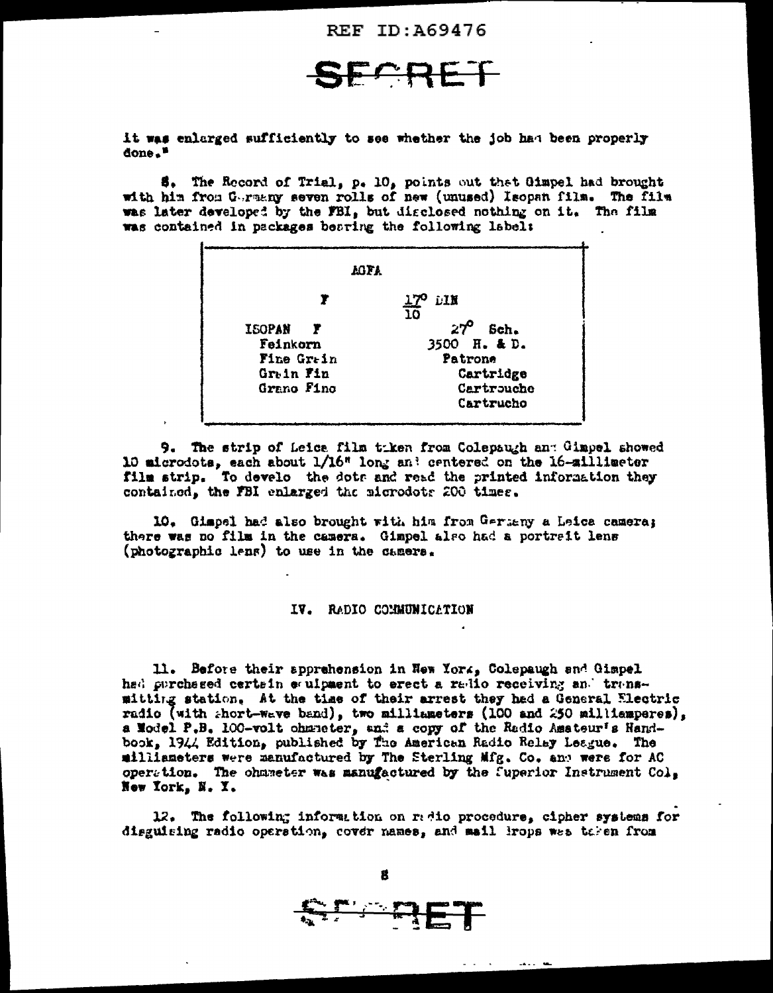**REF ID: A69476** 

**FARET** 

it was enlarged sufficiently to see whether the job had been properly done.<sup>1</sup>

\$. The Record of Trial, p. 10, points out that Gimpel had brought with him from Gurmany seven rolls of new (unused) Isopan film. The film was later developed by the FBI, but disclosed nothing on it. The film was contained in packages bearing the following label:

| 17° DIN<br>10 |
|---------------|
| 27ء<br>Sch.   |
| 3500 H. & D.  |
| Patrone       |
| Cartridge     |
| Cartrouche    |
| Cartrucho     |
|               |

9. The strip of Leice film tiken from Colepaugh and Gimpel showed 10 microdots, each about  $1/16$ <sup>n</sup> long and centered on the 16-silliseter film strip. To develo the dots and read the printed information they contained, the FBI enlarged the microdots 200 times.

10. Gimpel had also brought with him from Germany a Leica camera; there was no film in the camera. Gimpel also had a portreit lens (photographic lens) to use in the camera.

#### IV. RADIO COMMUNICATION

11. Before their apprehension in New York, Colepaugh and Gimpel had purchased certain equipment to erect a radio receiving and transmitting station. At the time of their arrest they had a General Electric radio (with short-wave band), two milliameters (100 and 250 milliamperes), a Model P.B. 100-volt chancter, and a copy of the Radio Amateur's Handbook, 1944 Edition, published by The American Radio Relay League. The milliameters were manufactured by The Sterling Mfg. Co. and were for AC operation. The ohmmeter was manufactured by the fuperior Instrument  $Co_{\pm}$ New York, N. Y.

12. The following information on radio procedure, cipher systems for disguising radio operation, cover names, and mail krops was taken from



8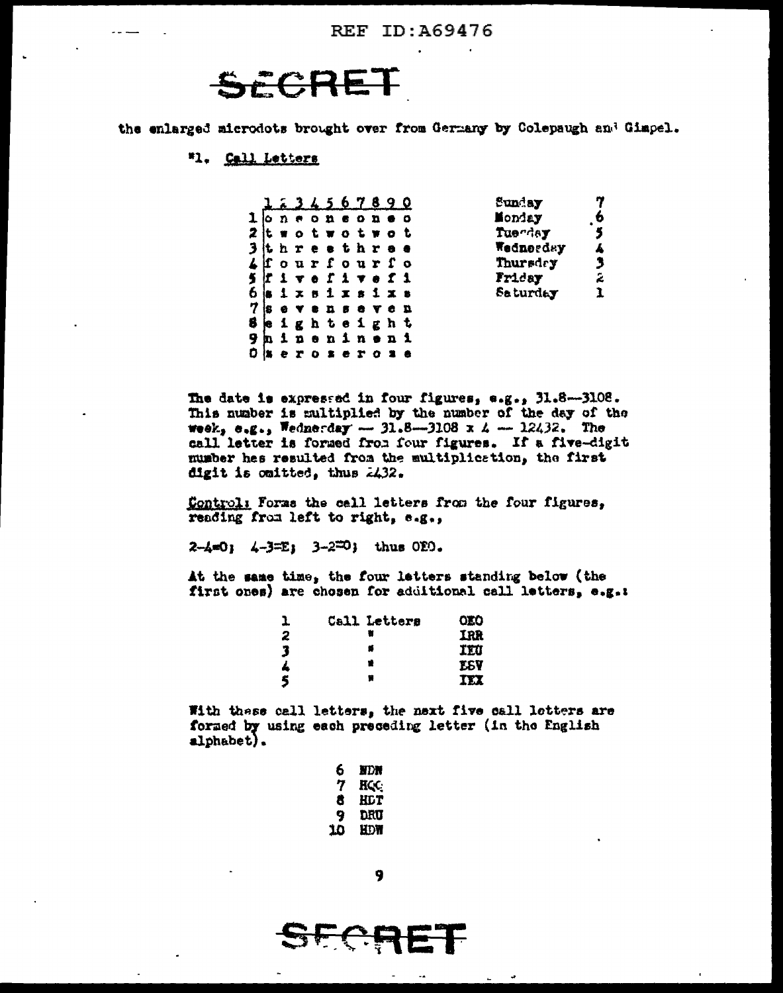# SECRE

the enlarged microdots brought over from Germany by Colepaugh and Gimpel.

### "1. Call Letters

|  |       |  |               |     | <u>1 = 3 4 5 6 7 8 9 0</u>        | Sunday    |              |
|--|-------|--|---------------|-----|-----------------------------------|-----------|--------------|
|  |       |  | L o n e o n e | o n |                                   | Monday    | 6            |
|  |       |  |               |     | 2 it wot wot wot                  | Tuerday   |              |
|  |       |  |               |     | 3 it h r e s t h r e e            | Wednerday |              |
|  |       |  |               |     | $\mathcal{L}$ fourfourfo          | Thursdry  |              |
|  |       |  |               |     | $\mathbf{s}$ if i v e f i v e f i | Friday    | $\mathbb{R}$ |
|  |       |  |               |     | 5 <b>a i x s i x s i x s</b>      | Saturday  |              |
|  |       |  |               |     | $7$ is e v e n s e v c n          |           |              |
|  |       |  |               |     | seighteight                       |           |              |
|  |       |  |               |     | <b>Jhinenineni</b>                |           |              |
|  | ) x e |  | s e r         |     |                                   |           |              |

The date is expressed in four figures, e.g., 31.8-3108. This number is multiplied by the number of the day of the week,  $e_{1}e_{2}$ , Wednerday - 31.8-3108 x 4 - 12432. The call letter is formed from four figures. If a five-digit number has resulted from the multiplication, the first digit is omitted, thus  $24.32$ .

Control: Forms the cell letters from the four figures, reading from left to right, e.g.,

 $2-4=0$ ;  $4-3=E$ ;  $3-2=0$ ; thus OEO.

At the same time, the four letters standing below (the first ones) are chosen for additional call letters, e.g.t

| ı | Call Letters | OLO        |
|---|--------------|------------|
| 2 |              | IRR        |
| 3 | s            | IEU        |
| 4 |              | <b>ESY</b> |
| 5 | 함            | IEX        |

With these call letters, the next five call letters are formed by using each preceding letter (in the English alphabet).

| 6  | HDN        |
|----|------------|
| 7  | <b>HCC</b> |
| 8  | HLT        |
| 9  | DRU        |
| 10 | HDW        |

<u>प्राप्त स</u>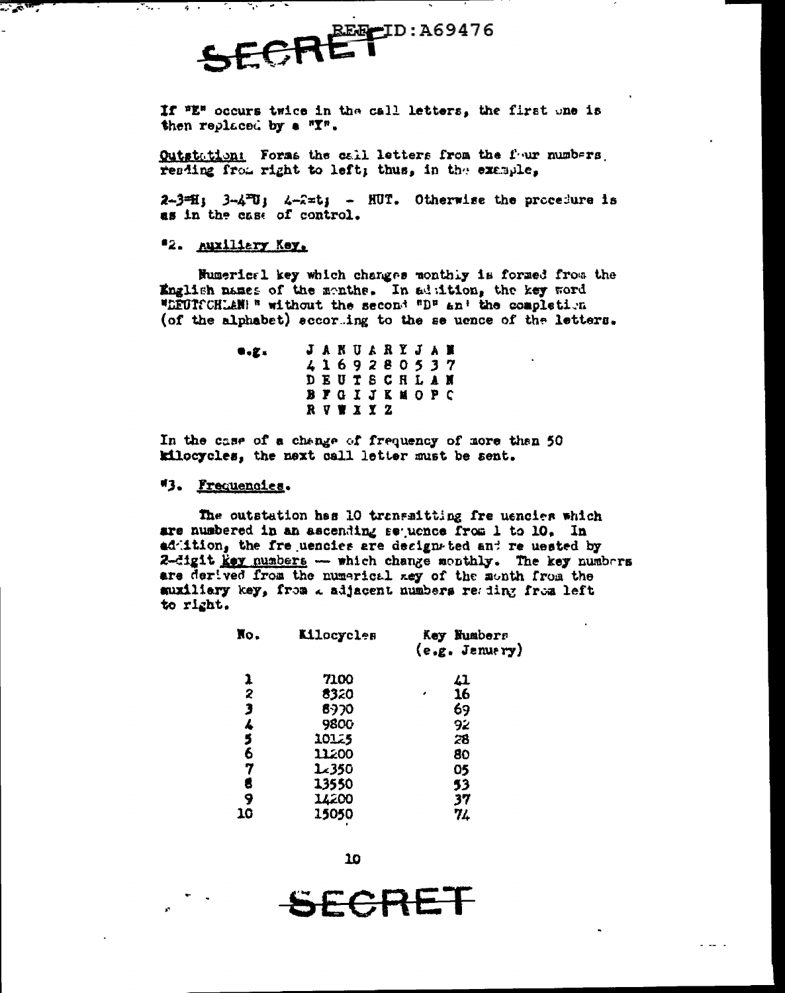REE-ID:A69476 SFER

If "E" occurs twice in the call letters, the first one is then replaced by a "I".

Outstation: Foras the call letters from the four numbers. resding from right to left; thus, in the example,

 $2-3=H$ ;  $3-4=U$ ;  $4-2=U$ ; - HUT. Otherwise the procedure is as in the case of control.

#### "2. Auxiliary Key.

 $\sim$   $\sim$   $\sim$ 

<u>тана</u>

 $\epsilon$  .

Mumerical key which changes monthly is formed from the English names of the menths. In addition, the key word "LEUISCHLAN!" without the second "D" and the completion (of the alphabet) accorting to the se uence of the letters.

> **JANUARYJAN**  $\bullet$ . $\alpha$ . 4169280537 **DEUTSCHLAN BFGIJKMOPC** RVWXYZ

In the case of a change of frequency of more than 50 kilocycles, the next call letter must be sent.

#### "3. Frequencies.

The outstation has 10 transaitting fre uencies which are numbered in an ascending sequence from 1 to 10, In addition, the frequencies are designated and requested by 2-digit key numbers - which change monthly. The key numbers are derived from the numerical zey of the month from the auxiliary key, from a adjacent numbers reading from left to right.

| No.    | <b>Kilocycles</b> | Key Numbers<br>(e, g, Jenuery) |
|--------|-------------------|--------------------------------|
| 1      | 7100              | 41                             |
|        | 8320              | 16                             |
|        | 8970              | 69                             |
|        | <b>9800</b>       | 92                             |
| 234567 | 10125             | 28                             |
|        | 11200             | 80                             |
|        | 1.350             | 05                             |
| 8      | 13550             | 53                             |
| 9      | 14200             | 37                             |
| 10     | 15050             | 74                             |

 $10$ 

SECRET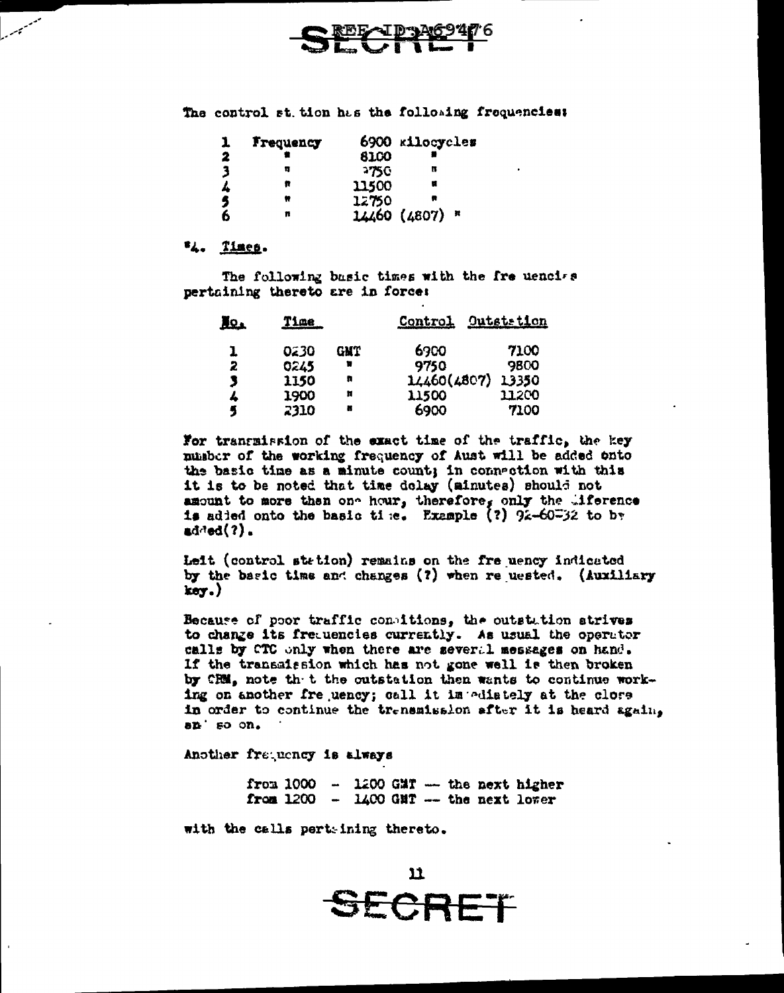

The control st. tion has the following frequencies:

|   | Frequency |       | 6900 kilocycles |
|---|-----------|-------|-----------------|
| 2 |           | 8100  |                 |
| 3 | π         | 2750  | П               |
| 4 | R         | 11500 |                 |
| 5 | Ħ         | 12750 |                 |
| 6 | n         |       | 14460 (4807) *  |

#### "4. Times.

The following basic times with the fre uencies pertaining thereto are in force:

| HQ. | <u>Time</u> |     | <b>Control</b> | Outstetion |
|-----|-------------|-----|----------------|------------|
| ı   | 0230        | GMT | 6900           | 7100       |
| 2   | 0245        |     | 9750           | 9800       |
| 3   | 1150        | п   | 14460(4807)    | 13350      |
| ٨   | 1900        | Ħ   | 11500          | 11200      |
| 4   | 2310        | ×   | 6900           | 7100       |

For transmission of the exact time of the traffic, the key pusber of the working frequency of Aust will be added onto the basic time as a minute count; in connection with this it is to be noted that time dolay (minutes) should not amount to more then one hour, therefore, only the liference is added onto the basic time. Example (?)  $9x-60=32$  to by added $(?)$ .

Leit (control station) remains on the fre uency indicated by the basic time and changes (?) when re uested. (Auxiliary  $key.)$ 

Because of poor traffic consitions, the outstation strives to change its frequencies currently. As usual the operator calls by CTC only when there are several messages on hand. If the transmission which has not gone well is then broken by CRM, note th t the outstation then wants to continue working on another fre uency; call it im ediately at the clore in order to continue the trensmission after it is heard again,  $a$ <sup>t</sup> so on.

Another frequency is always

from  $1000 - 1200$  GMT -- the next higher from  $1200 - 1400$  GMT -- the next lower

with the calls pert-ining thereto.

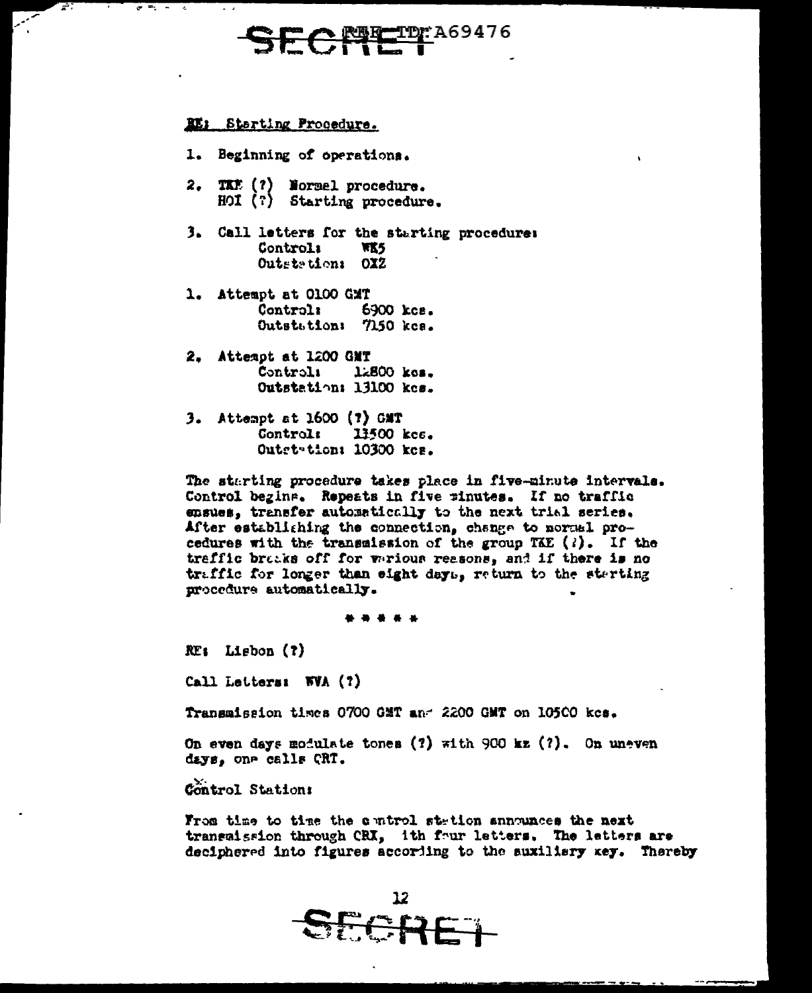# **ID: A69476**

#### RE: Starting Procedure.

7

**All Professional** 

 $\sim$   $\sim$ 

- 1. Beginning of operations.
- 2. TKE (?) Normel procedure. HOI (?) Starting procedure.
- 3. Call letters for the starting procedure: Controli **WKS** Outstation: OXZ
- 1. Attempt at 0100 GMT **Control:** 6900 kcs. Outstation: 7150 kcs.
- 2. Attempt at 1200 GMT Controli  $1.800$   $ks.$ Outstation: 13100 kcs.
- 3. Attempt at 1600 (?) GMT Control: 13500 kcc. Outst-tion: 10300 kcs.

The starting procedure takes place in five-minute intervals. Control begins. Repeats in five minutes. If no traffic ensues, transfer automatically to the next trial series. After establishing the connection, change to normal procedures with the transmission of the group TAE  $(i)$ . If the traffic bracks off for warious reasons, and if there is no traffic for longer than eight days, return to the sterting procedure automatically.

. . . . .

 $RE<sub>i</sub>$  Lisbon (?)

Call Letters: WVA (?)

Transmission times 0700 GMT and 2200 GMT on 10500 kes.

On even days modulate tones (?) with 900 kz (?). On uneven days, one calls CRT.

Control Station:

From time to time the control station announces the next transaission through CRI, ith four letters. The letters are deciphered into figures according to the suxilisry xey. Thereby

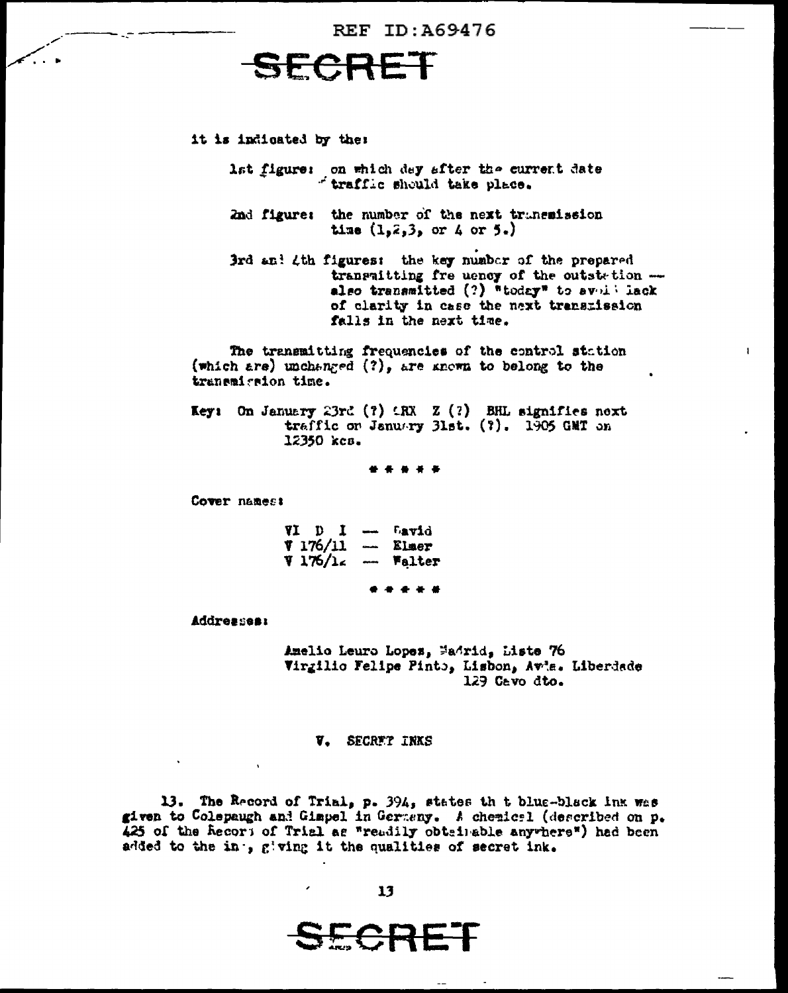



it is indicated by the:

lst figure: on which dey after the current date<br>fraffic should take place.

2nd figure: the number of the next transmission time  $(1, 2, 3,$  or 4 or 5.)

3rd and 4th figures: the key number of the prepared transmitting fre uency of the outstation also transmitted (?) "today" to avoil lack of clarity in case the next transmission falls in the next time.

The transmitting frequencies of the control station (which are) unchanged  $(?)$ , are known to belong to the tranemierion time.

**Key:** On January 23rd (?)  $LRX$  Z (?) BHL signifies next traffic on January 31st. (?). 1905 GMT on 12350 kcs.

Cover names:

VI D I - Lavid  $V 176/11$  - Elmer  $7176/16$  -Falter

**Addresses:** 

Amelio Leuro Lopes, Madrid, Liste 76 Virgilio Felipe Pinto, Lisbon, Avis. Liberdade 129 Cavo dto.

#### V. SECRET INKS

13. The Record of Trial, p. 394, states th t blue-black ink was given to Colepaugh and Gimpel in Germany. A chemical (described on p. 425 of the Recors of Trial as "readily obtainable anywhere") had been added to the in., giving it the qualities of secret ink.

<del>C.R.</del>